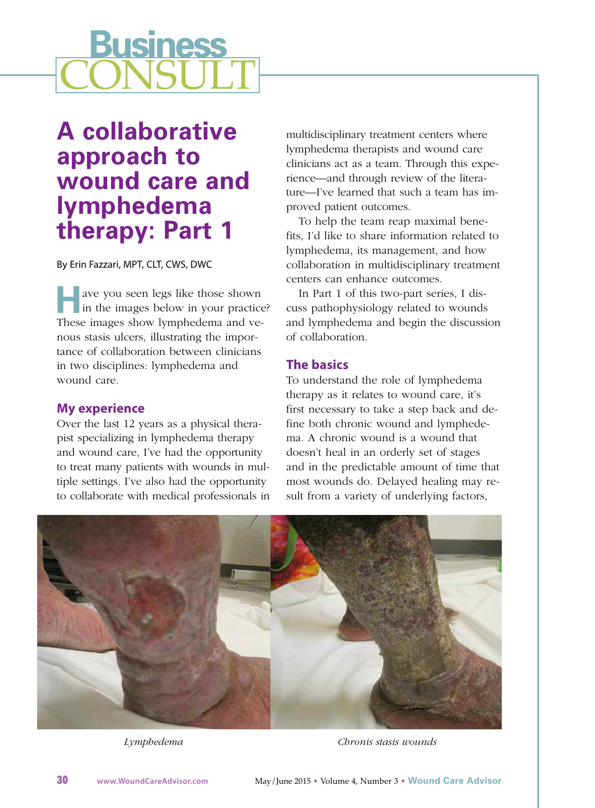# **Business CONSULT**

# **A collaborative approach to wound care and lymphedema therapy: Part 1**

By Erin Fazzari, MPT, CLT, CWS, DWC

**H** ave you seen legs like those shown in the images below in your practice? These images show lymphedema and venous stasis ulcers, illustrating the importance of collaboration between clinicians in two disciplines: lymphedema and wound care.

#### **My experience**

Over the last 12 years as a physical therapist specializing in lymphedema therapy and wound care, I've had the opportunity to treat many patients with wounds in multiple settings. I've also had the opportunity to collaborate with medical professionals in multidisciplinary treatment centers where lymphedema therapists and wound care clinicians act as a team. Through this experience—and through review of the literature—I've learned that such a team has improved patient outcomes.

To help the team reap maximal benefits, I'd like to share information related to lymphedema, its management, and how collaboration in multidisciplinary treatment centers can enhance outcomes.

In Part 1 of this two-part series, I discuss pathophysiology related to wounds and lymphedema and begin the discussion of collaboration.

### **The basics**

To understand the role of lymphedema therapy as it relates to wound care, it's first necessary to take a step back and define both chronic wound and lymphedema. A chronic wound is a wound that doesn't heal in an orderly set of stages and in the predictable amount of time that most wounds do. Delayed healing may result from a variety of underlying factors,



*Lymphedema Chronis stasis wounds*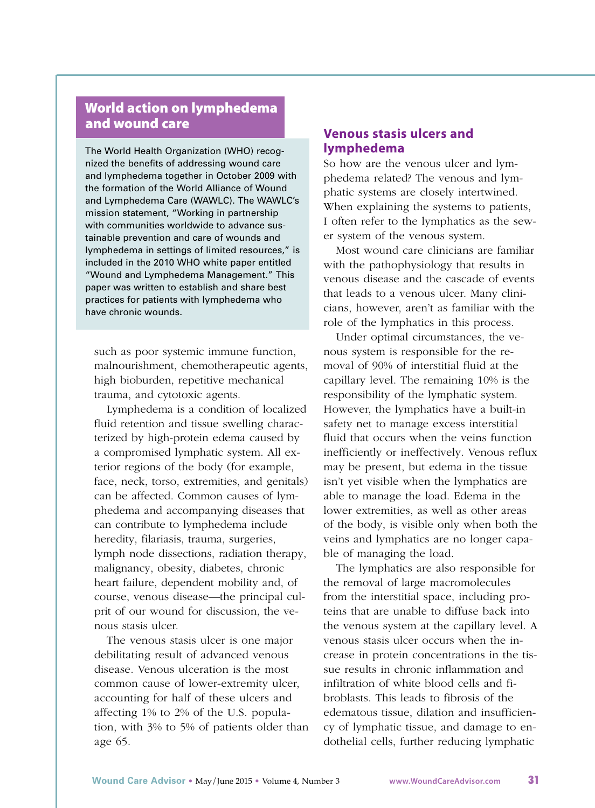## **World action on lymphedema and wound care**

The World Health Organization (WHO) recognized the benefits of addressing wound care and lymphedema together in October 2009 with the formation of the World Alliance of Wound and Lymphedema Care (WAWLC). The WAWLC's mission statement, "Working in partnership with communities worldwide to advance sustainable prevention and care of wounds and lymphedema in settings of limited resources," is included in the 2010 WHO white paper entitled "Wound and Lymphedema Management." This paper was written to establish and share best practices for patients with lymphedema who have chronic wounds.

such as poor systemic immune function, malnourishment, chemotherapeutic agents, high bioburden, repetitive mechanical trauma, and cytotoxic agents.

Lymphedema is a condition of localized fluid retention and tissue swelling characterized by high-protein edema caused by a compromised lymphatic system. All exterior regions of the body (for example, face, neck, torso, extremities, and genitals) can be affected. Common causes of lymphedema and accompanying diseases that can contribute to lymphedema include heredity, filariasis, trauma, surgeries, lymph node dissections, radiation therapy, malignancy, obesity, diabetes, chronic heart failure, dependent mobility and, of course, venous disease—the principal culprit of our wound for discussion, the venous stasis ulcer.

The venous stasis ulcer is one major debilitating result of advanced venous disease. Venous ulceration is the most common cause of lower-extremity ulcer, accounting for half of these ulcers and affecting 1% to 2% of the U.S. population, with 3% to 5% of patients older than age 65.

#### **Venous stasis ulcers and lymphedema**

So how are the venous ulcer and lymphedema related? The venous and lymphatic systems are closely intertwined. When explaining the systems to patients, I often refer to the lymphatics as the sewer system of the venous system.

Most wound care clinicians are familiar with the pathophysiology that results in venous disease and the cascade of events that leads to a venous ulcer. Many clinicians, however, aren't as familiar with the role of the lymphatics in this process.

Under optimal circumstances, the venous system is responsible for the removal of 90% of interstitial fluid at the capillary level. The remaining 10% is the responsibility of the lymphatic system. However, the lymphatics have a built-in safety net to manage excess interstitial fluid that occurs when the veins function inefficiently or ineffectively. Venous reflux may be present, but edema in the tissue isn't yet visible when the lymphatics are able to manage the load. Edema in the lower extremities, as well as other areas of the body, is visible only when both the veins and lymphatics are no longer capable of managing the load.

The lymphatics are also responsible for the removal of large macromolecules from the interstitial space, including proteins that are unable to diffuse back into the venous system at the capillary level. A venous stasis ulcer occurs when the increase in protein concentrations in the tissue results in chronic inflammation and infiltration of white blood cells and fibroblasts. This leads to fibrosis of the edematous tissue, dilation and insufficiency of lymphatic tissue, and damage to endothelial cells, further reducing lymphatic